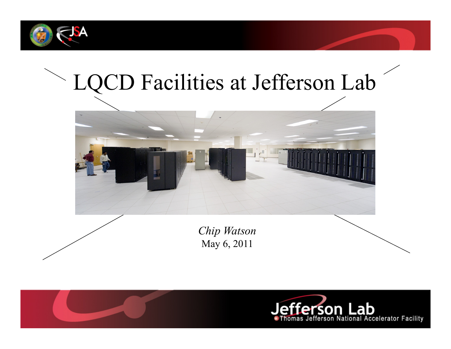



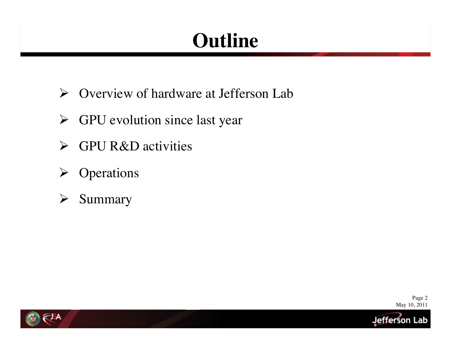## **Outline**

- Overview of hardware at Jefferson Lab
- $\triangleright$  GPU evolution since last year
- $\triangleright$  GPU R&D activities
- $\triangleright$  Operations
- $\triangleright$  Summary

Page 2 May 10, 2011

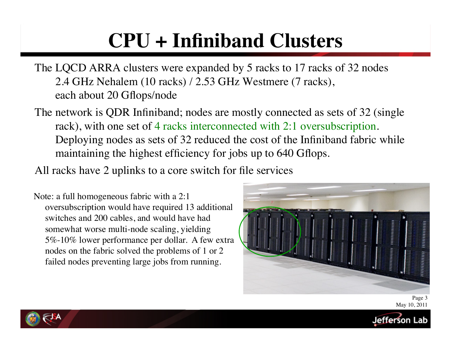# **CPU + Infiniband Clusters**

The LQCD ARRA clusters were expanded by 5 racks to 17 racks of 32 nodes 2.4 GHz Nehalem (10 racks) / 2.53 GHz Westmere (7 racks), each about 20 Gflops/node

The network is QDR Infiniband; nodes are mostly connected as sets of 32 (single rack), with one set of 4 racks interconnected with 2:1 oversubscription. Deploying nodes as sets of 32 reduced the cost of the Infiniband fabric while maintaining the highest efficiency for jobs up to 640 Gflops.

All racks have 2 uplinks to a core switch for file services

 Note: a full homogeneous fabric with a 2:1 oversubscription would have required 13 additional switches and 200 cables, and would have had somewhat worse multi-node scaling, yielding 5%-10% lower performance per dollar. A few extra nodes on the fabric solved the problems of 1 or 2 failed nodes preventing large jobs from running.





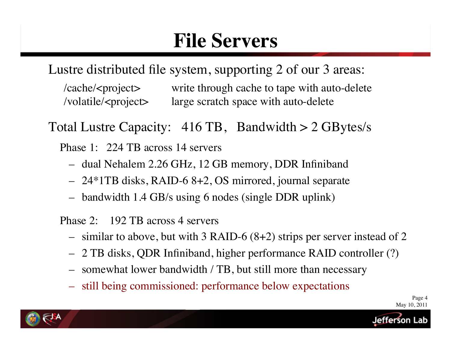### **File Servers**

Lustre distributed file system, supporting 2 of our 3 areas:

/cache/<project> write through cache to tape with auto-delete /volatile/<project> large scratch space with auto-delete

Total Lustre Capacity: 416 TB, Bandwidth > 2 GBytes/s

Phase 1: 224 TB across 14 servers

- dual Nehalem 2.26 GHz, 12 GB memory, DDR Infiniband
- 24\*1TB disks, RAID-6 8+2, OS mirrored, journal separate
- bandwidth 1.4 GB/s using 6 nodes (single DDR uplink)

Phase 2: 192 TB across 4 servers

- similar to above, but with 3 RAID-6 (8+2) strips per server instead of 2
- 2 TB disks, QDR Infiniband, higher performance RAID controller (?)
- somewhat lower bandwidth / TB, but still more than necessary
- still being commissioned: performance below expectations

Page 4 May 10, 2011

Jetterson Lab

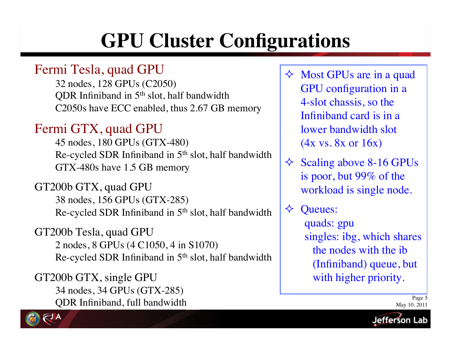## **GPU Cluster Configurations**

### Fermi Tesla, quad GPU

32 nodes, 128 GPUs (C2050) QDR Infiniband in 5<sup>th</sup> slot, half bandwidth C2050s have ECC enabled, thus 2.67 GB memory

### Fermi GTX, quad GPU

45 nodes, 180 GPUs (GTX-480) Re-cycled SDR Infiniband in 5th slot, half bandwidth GTX-480s have 1.5 GB memory

GT200b GTX, quad GPU 38 nodes, 156 GPUs (GTX-285) Re-cycled SDR Infiniband in  $5<sup>th</sup>$  slot, half bandwidth

GT200b Tesla, quad GPU 2 nodes, 8 GPUs (4 C1050, 4 in S1070) Re-cycled SDR Infiniband in 5th slot, half bandwidth

GT200b GTX, single GPU 34 nodes, 34 GPUs (GTX-285) QDR Infiniband, full bandwidth  $\Diamond$  Most GPUs are in a quad GPU configuration in a 4-slot chassis, so the Infiniband card is in a lower bandwidth slot (4x vs. 8x or 16x)

- $\triangle$  Scaling above 8-16 GPUs is poor, but 99% of the workload is single node.
- $\Diamond$  Oueues:

quads: gpu singles: ibg, which shares the nodes with the ib (Infiniband) queue, but with higher priority.



Page 5 May 10, 2011

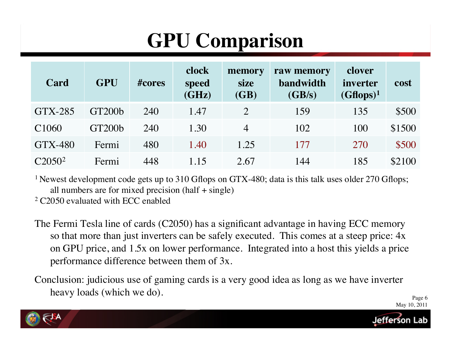# **GPU Comparison**

| Card               | <b>GPU</b>         | $\#cores$ | clock<br>speed<br>(GHz) | memory<br>size<br>(GB) | raw memory<br>bandwidth<br>(GB/s) | clover<br>inverter<br>$(Gflops)^1$ | cost   |
|--------------------|--------------------|-----------|-------------------------|------------------------|-----------------------------------|------------------------------------|--------|
| $GTX-285$          | GT200 <sub>b</sub> | 240       | 1.47                    | $\overline{2}$         | 159                               | 135                                | \$500  |
| C <sub>1060</sub>  | <b>GT200b</b>      | 240       | 1.30                    | $\overline{4}$         | 102                               | 100                                | \$1500 |
| GTX-480            | Fermi              | 480       | 1.40                    | 1.25                   | 177                               | 270                                | \$500  |
| C2050 <sup>2</sup> | Fermi              | 448       | 1.15                    | 2.67                   | 144                               | 185                                | \$2100 |

<sup>1</sup> Newest development code gets up to 310 Gflops on GTX-480; data is this talk uses older 270 Gflops; all numbers are for mixed precision  $(half + single)$ 

2 C2050 evaluated with ECC enabled

- The Fermi Tesla line of cards (C2050) has a significant advantage in having ECC memory so that more than just inverters can be safely executed. This comes at a steep price: 4x on GPU price, and 1.5x on lower performance. Integrated into a host this yields a price performance difference between them of 3x.
- Conclusion: judicious use of gaming cards is a very good idea as long as we have inverter heavy loads (which we do).

Page 6 May 10, 2011



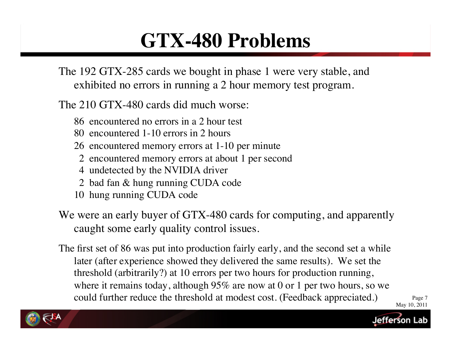### **GTX-480 Problems**

The 192 GTX-285 cards we bought in phase 1 were very stable, and exhibited no errors in running a 2 hour memory test program.

The 210 GTX-480 cards did much worse:

- 86 encountered no errors in a 2 hour test
- 80 encountered 1-10 errors in 2 hours
- 26 encountered memory errors at 1-10 per minute
	- 2 encountered memory errors at about 1 per second
	- 4 undetected by the NVIDIA driver
	- 2 bad fan & hung running CUDA code
- 10 hung running CUDA code
- We were an early buyer of GTX-480 cards for computing, and apparently caught some early quality control issues.
- May 10, 2011 The first set of 86 was put into production fairly early, and the second set a while later (after experience showed they delivered the same results). We set the threshold (arbitrarily?) at 10 errors per two hours for production running, where it remains today, although 95% are now at 0 or 1 per two hours, so we could further reduce the threshold at modest cost. (Feedback appreciated.)

Page 7

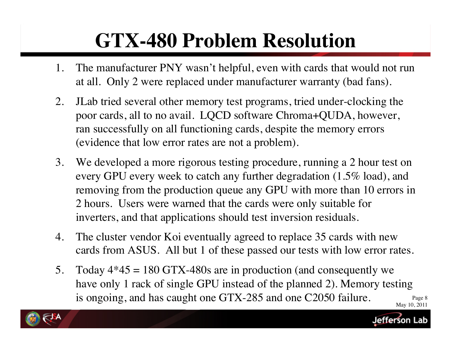# **GTX-480 Problem Resolution**

- 1. The manufacturer PNY wasn't helpful, even with cards that would not run at all. Only 2 were replaced under manufacturer warranty (bad fans).
- 2. JLab tried several other memory test programs, tried under-clocking the poor cards, all to no avail. LQCD software Chroma+QUDA, however, ran successfully on all functioning cards, despite the memory errors (evidence that low error rates are not a problem).
- 3. We developed a more rigorous testing procedure, running a 2 hour test on every GPU every week to catch any further degradation (1.5% load), and removing from the production queue any GPU with more than 10 errors in 2 hours. Users were warned that the cards were only suitable for inverters, and that applications should test inversion residuals.
- 4. The cluster vendor Koi eventually agreed to replace 35 cards with new cards from ASUS. All but 1 of these passed our tests with low error rates.
- Page 8 May 10, 2011 5. Today  $4*45 = 180$  GTX-480s are in production (and consequently we have only 1 rack of single GPU instead of the planned 2). Memory testing is ongoing, and has caught one GTX-285 and one C2050 failure.



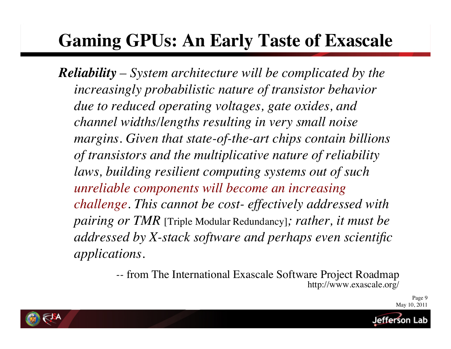### **Gaming GPUs: An Early Taste of Exascale**

*Reliability – System architecture will be complicated by the increasingly probabilistic nature of transistor behavior due to reduced operating voltages, gate oxides, and channel widths/lengths resulting in very small noise margins. Given that state-of-the-art chips contain billions of transistors and the multiplicative nature of reliability laws, building resilient computing systems out of such unreliable components will become an increasing challenge. This cannot be cost- effectively addressed with pairing or TMR* [Triple Modular Redundancy]*; rather, it must be addressed by X-stack software and perhaps even scientific applications.*

> *--* from The International Exascale Software Project Roadmap http://www.exascale.org/



letterson l

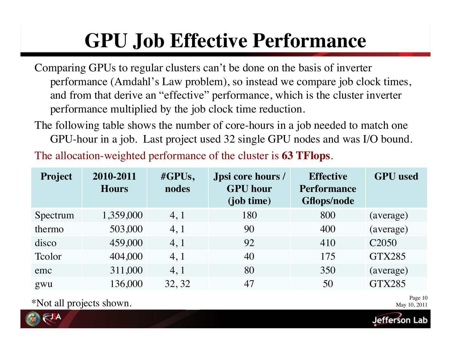# **GPU Job Effective Performance**

- Comparing GPUs to regular clusters can't be done on the basis of inverter performance (Amdahl's Law problem), so instead we compare job clock times, and from that derive an "effective" performance, which is the cluster inverter performance multiplied by the job clock time reduction.
- The following table shows the number of core-hours in a job needed to match one GPU-hour in a job. Last project used 32 single GPU nodes and was I/O bound.

The allocation-weighted performance of the cluster is **63 TFlops**.

| <b>Project</b> | 2010-2011<br><b>Hours</b> | $\#GPUs,$<br>nodes | Jpsi core hours /<br><b>GPU</b> hour<br>(job time) | <b>Effective</b><br><b>Performance</b><br><b>Gflops/node</b> | <b>GPU</b> used   |
|----------------|---------------------------|--------------------|----------------------------------------------------|--------------------------------------------------------------|-------------------|
| Spectrum       | 1,359,000                 | 4, 1               | 180                                                | 800                                                          | (average)         |
| thermo         | 503,000                   | 4, 1               | 90                                                 | 400                                                          | (average)         |
| disco          | 459,000                   | 4, 1               | 92                                                 | 410                                                          | C <sub>2050</sub> |
| Tcolor         | 404,000                   | 4, 1               | 40                                                 | 175                                                          | <b>GTX285</b>     |
| emc            | 311,000                   | 4, 1               | 80                                                 | 350                                                          | (average)         |
| gwu            | 136,000                   | 32, 32             | 47                                                 | 50                                                           | <b>GTX285</b>     |

\*Not all projects shown.

Page 10 May 10, 2011

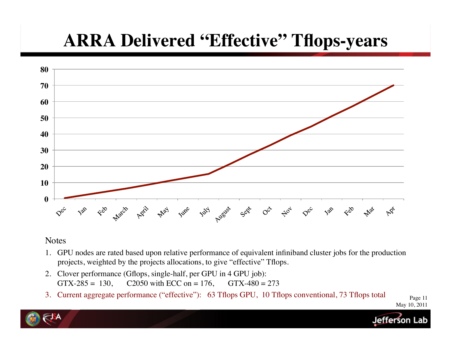### **ARRA Delivered "Effective" Tflops-years**



#### **Notes**

- 1. GPU nodes are rated based upon relative performance of equivalent infiniband cluster jobs for the production projects, weighted by the projects allocations, to give "effective" Tflops.
- 2. Clover performance (Gflops, single-half, per GPU in 4 GPU job): GTX-285 = 130, C2050 with ECC on = 176, GTX-480 = 273
- 3. Current aggregate performance ("effective"): 63 Tflops GPU, 10 Tflops conventional, 73 Tflops total

Page 11 May 10, 2011

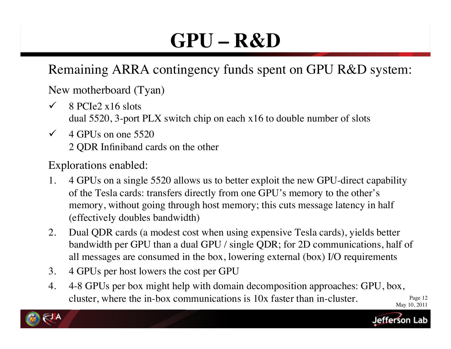# **GPU – R&D**

### Remaining ARRA contingency funds spent on GPU R&D system:

New motherboard (Tyan)

- $\checkmark$  8 PCIe2 x16 slots dual 5520, 3-port PLX switch chip on each x16 to double number of slots
- $\checkmark$  4 GPUs on one 5520 2 QDR Infiniband cards on the other

Explorations enabled:

- 1. 4 GPUs on a single 5520 allows us to better exploit the new GPU-direct capability of the Tesla cards: transfers directly from one GPU's memory to the other's memory, without going through host memory; this cuts message latency in half (effectively doubles bandwidth)
- 2. Dual QDR cards (a modest cost when using expensive Tesla cards), yields better bandwidth per GPU than a dual GPU / single QDR; for 2D communications, half of all messages are consumed in the box, lowering external (box) I/O requirements
- 3. 4 GPUs per host lowers the cost per GPU
- Page 12 May 10, 2011 4. 4-8 GPUs per box might help with domain decomposition approaches: GPU, box, cluster, where the in-box communications is 10x faster than in-cluster.



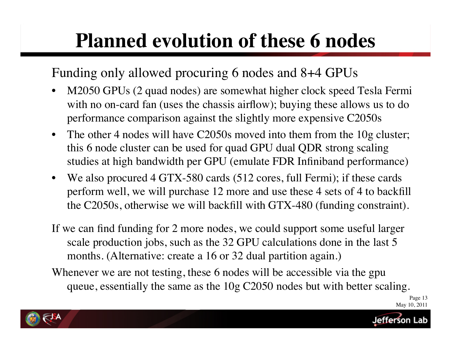## **Planned evolution of these 6 nodes**

Funding only allowed procuring 6 nodes and 8+4 GPUs

- M2050 GPUs (2 quad nodes) are somewhat higher clock speed Tesla Fermi with no on-card fan (uses the chassis airflow); buying these allows us to do performance comparison against the slightly more expensive C2050s
- The other 4 nodes will have C2050s moved into them from the 10g cluster; this 6 node cluster can be used for quad GPU dual QDR strong scaling studies at high bandwidth per GPU (emulate FDR Infiniband performance)
- We also procured 4 GTX-580 cards (512 cores, full Fermi); if these cards perform well, we will purchase 12 more and use these 4 sets of 4 to backfill the C2050s, otherwise we will backfill with GTX-480 (funding constraint).
- If we can find funding for 2 more nodes, we could support some useful larger scale production jobs, such as the 32 GPU calculations done in the last 5 months. (Alternative: create a 16 or 32 dual partition again.)
- Whenever we are not testing, these 6 nodes will be accessible via the gpu queue, essentially the same as the 10g C2050 nodes but with better scaling.





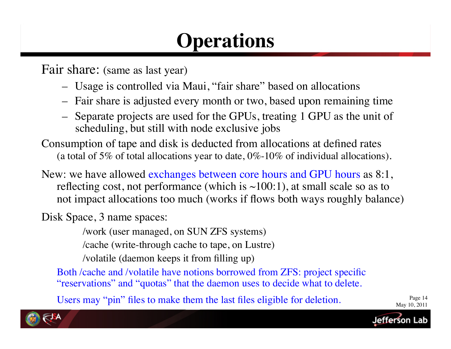## **Operations**

Fair share: (same as last year)

- Usage is controlled via Maui, "fair share" based on allocations
- Fair share is adjusted every month or two, based upon remaining time
- Separate projects are used for the GPUs, treating 1 GPU as the unit of scheduling, but still with node exclusive jobs

Consumption of tape and disk is deducted from allocations at defined rates (a total of 5% of total allocations year to date,  $0\%$ -10% of individual allocations).

New: we have allowed exchanges between core hours and GPU hours as 8:1, reflecting cost, not performance (which is  $\sim$ 100:1), at small scale so as to not impact allocations too much (works if flows both ways roughly balance)

Disk Space, 3 name spaces:

/work (user managed, on SUN ZFS systems)

/cache (write-through cache to tape, on Lustre)

/volatile (daemon keeps it from filling up)

Both /cache and /volatile have notions borrowed from ZFS: project specific "reservations" and "quotas" that the daemon uses to decide what to delete.

Users may "pin" files to make them the last files eligible for deletion.

Page 14 May 10, 2011

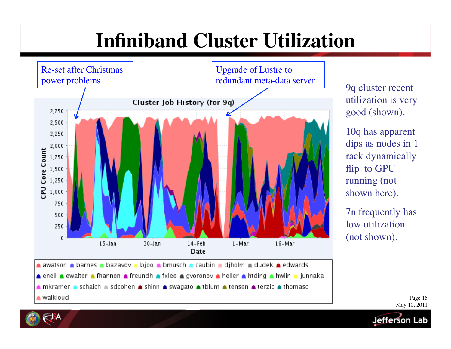## **Infiniband Cluster Utilization**



9q cluster recent utilization is very good (shown).

10q has apparent dips as nodes in 1 rack dynamically flip to GPU running (not shown here).

7n frequently has low utilization (not shown).

> Page 15 May 10, 2011

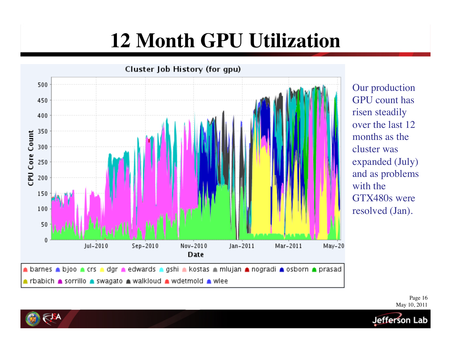## **12 Month GPU Utilization**



Our production GPU count has risen steadily over the last 12 months as the cluster was expanded (July) and as problems with the GTX480s were resolved (Jan).

> Page 16 May 10, 2011

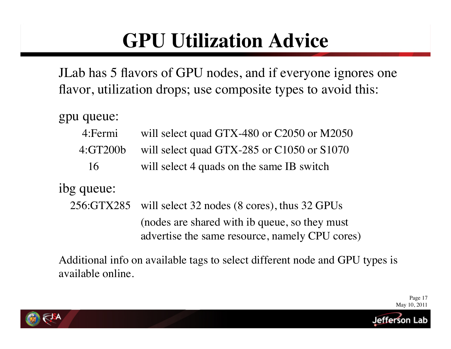# **GPU Utilization Advice**

JLab has 5 flavors of GPU nodes, and if everyone ignores one flavor, utilization drops; use composite types to avoid this:

gpu queue:

- 4:Fermi will select quad GTX-480 or C2050 or M2050
- 4:GT200b will select quad GTX-285 or C1050 or S1070
	- 16 will select 4 quads on the same IB switch

ibg queue:

 256:GTX285 will select 32 nodes (8 cores), thus 32 GPUs (nodes are shared with ib queue, so they must advertise the same resource, namely CPU cores)

Additional info on available tags to select different node and GPU types is available online.

> Page 17 May 10, 2011